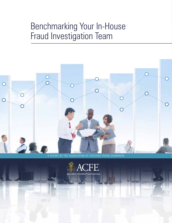# Benchmarking Your In-House Fraud Investigation Team



A REPORT BY THE ASSOCIATION OF CERTIFIED FRAUD EXAMINERS

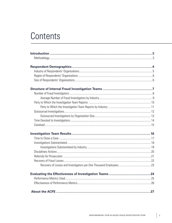# Contents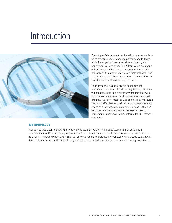# <span id="page-2-0"></span>Introduction



# **METHODOLOGY**

Every type of department can benefit from a comparison of its structure, resources, and performance to those at similar organizations; internal fraud investigation departments are no exception. Often, when evaluating a fraud investigation team, management has to rely primarily on the organization's own historical data. And organizations that decide to establish new fraud teams might have very little data to guide them.

To address the lack of available benchmarking information for internal fraud investigation departments, we collected data about our members' internal investigation teams and analyzed how they are structured and how they performed, as well as how they measured their own effectiveness. While the circumstances and needs of every organization differ, our hope is that this report assists our members and others in creating or implementing changes to their internal fraud investigation teams.

Our survey was open to all ACFE members who work as part of an in-house team that performs fraud examinations for their employing organization. Survey responses were collected anonymously. We received a total of 1,118 survey responses, 828 of which were usable for purposes of our study. All analyses contained in this report are based on those qualifying responses that provided answers to the relevant survey question(s).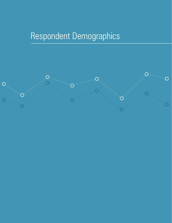# <span id="page-3-0"></span>Respondent Demographics

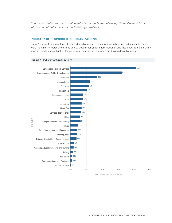<span id="page-4-0"></span>*To provide context for the overall results of our study, the following charts illustrate basic information about survey respondents' organizations.*

### **INDUSTRY OF RESPONDENTS' ORGANIZATIONS**

Figure 1 shows the percentage of respondents by industry. Organizations in banking and financial services were most highly represented, followed by government/public administration and insurance. To help identify specific trends in investigation teams, several analyses in this report are broken down by industry.



#### **Figure 1:** Industry of Organizations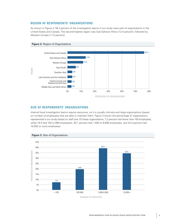#### <span id="page-5-0"></span>**REGION OF RESPONDENTS' ORGANIZATIONS**

As shown in Figure 2, 56.3 percent of the investigation teams in our study were part of organizations in the United States and Canada. The second-highest region was Sub-Saharan Africa (13.4 percent), followed by Western Europe (11.5 percent).



#### **Figure 2:** Region of Organizations

# **SIZE OF RESPONDENTS' ORGANIZATIONS**

Internal fraud investigation teams require resources, so it is usually mid-size and large organizations (based on number of employees) that are able to maintain them. Figure 3 shows the percentage of organizations represented in our study based on staff size. Of these organizations, 7.2 percent had fewer than 100 employees, while 19.4 had 100 to 999 employees, 39.1 percent had 1,000 to 9,999 employees, and 34.3 percent had 10,000 or more employees.

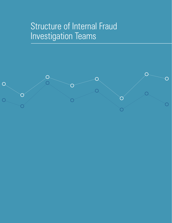# <span id="page-6-0"></span>Structure of Internal Fraud Investigation Teams

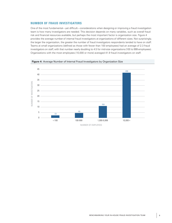#### <span id="page-7-0"></span>**NUMBER OF FRAUD INVESTIGATORS**

One of the most fundamental—yet difficult—considerations when designing or improving a fraud investigation team is how many investigators are needed. This decision depends on many variables, such as overall fraud risk and financial resources available, but perhaps the most important factor is organization size. Figure 4 provides the average number of internal fraud investigators at organizations of different sizes. Not surprisingly, the larger the organization, the greater the number of fraud investigators respondents tended to have on staff. Teams at small organizations (defined as those with fewer than 100 employees) had an average of 2.3 fraud investigators on staff, with that number nearly doubling to 4.5 for mid-size organizations (100 to 999 employees). Organizations with the most employees (10,000 or more) averaged 41.9 fraud investigators on staff.



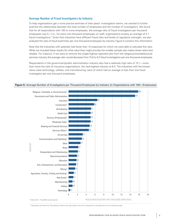#### <span id="page-8-0"></span>**Average Number of Fraud Investigators by Industry**

To help organizations get a more precise estimate of their peers' investigation teams, we wanted to further examine the relationship between the total number of employees and the number of investigators. We found that for all respondents with 100 or more employees, the average ratio of fraud investigators per thousand employees was 5.1 (i.e., for every one thousand employees on staff, organizations employ an average of 5.1 fraud investigators).<sup>1</sup> Given that industries have different fraud risks and levels of regulatory oversight, we also analyzed the ratio of fraud examiners per one thousand employees by industry. Figure 5 contains this information.

Note that the industries with asterisks had fewer than 10 responses for which we were able to calculate this ratio. While we included these results for what value they might provide, the smaller sample size makes these ratios less reliable. For instance, if we were to remove the single-highest reported ratio from the religious/charitable/social services industry, the average ratio would decrease from 15.8 to 8.3 fraud investigators per one thousand employees.

Respondents in the government/public administration industry also had a relatively high ratio of 15.1—more than twice the ratio of insurance organizations, the next-highest industry at 6.5. The industries with the lowest ratios were technology, utilities, and manufacturing, each of which had an average of less than one fraud investigator per one thousand employees.



#### <span id="page-8-1"></span>**Figure 5:** Average Number of Investigators per Thousand Employees by Industry (in Organizations with 100+ Employees)

**<sup>1</sup>** Organizations with fewer than 100 employees tended to have high variation in this ratio. Consequently, we excluded them from the calculated average.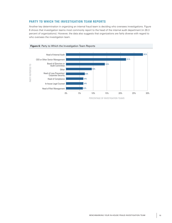## <span id="page-9-0"></span>**PARTY TO WHICH THE INVESTIGATION TEAM REPORTS**

Another key determination in organizing an internal fraud team is deciding who oversees investigations. Figure 6 shows that investigation teams most commonly report to the head of the internal audit department (in 28.3 percent of organizations). However, the data also suggests that organizations are fairly diverse with regard to who oversees the investigation team.

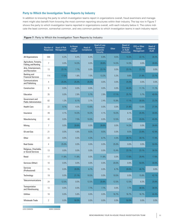#### <span id="page-10-0"></span>**Party to Which the Investigation Team Reports by Industry**

In addition to knowing the party to which investigation teams report in organizations overall, fraud examiners and management might also benefit from knowing the most common reporting structures within their industry. The top row in Figure 7 shows the party to which investigation teams reported in organizations overall, with each industry below it. The colors indicate the least common, somewhat common, and very common parties to which investigation teams in each industry report.

|                                                 | Number of<br>Responses | <b>Head of Risk</b><br>Management | In-House<br>Legal<br>Counsel | Head of<br>Compliance | <b>Head of Loss</b><br>Prevention/<br>Corporate<br><b>Security</b> | <b>Other</b> | <b>Board of</b><br><b>Directors</b><br>or Audit<br>Committee | CEO or Other<br>Senior<br>Management | Head of<br><b>Internal</b><br><b>Audit</b> |
|-------------------------------------------------|------------------------|-----------------------------------|------------------------------|-----------------------|--------------------------------------------------------------------|--------------|--------------------------------------------------------------|--------------------------------------|--------------------------------------------|
| All Organizations                               | 566                    | 6.2%                              | 6.4%                         | 6.4%                  | 6.9%                                                               | 9.5%         | 14.3%                                                        | 22.1%                                | 28.3%                                      |
| Agriculture, Forestry,<br>Fishing, and Hunting  | $\overline{7}$         | 0.0%                              | 14.3%                        | 0.0%                  | 28.6%                                                              | 14.3%        | 14.3%                                                        | 0.0%                                 | 28.6%                                      |
| Arts, Entertainment,<br>and Recreation          | 13                     | 23.1%                             | 7.7%                         | 0.0%                  | 23.1%                                                              | 0.0%         | 23.1%                                                        | 23.1%                                | 0.0%                                       |
| <b>Banking and</b><br><b>Financial Services</b> | 114                    | 17.5%                             | 1.8%                         | 7.0%                  | 13.2%                                                              | 5.3%         | 9.6%                                                         | 21.9%                                | 23.7%                                      |
| Communications<br>and Publishing                | 4                      | 25.0%                             | 25.0%                        | 25.0%                 | 0.0%                                                               | 0.0%         | 25.0%                                                        | 0.0%                                 | 0.0%                                       |
| Construction                                    | 9                      | 0.0%                              | 0.0%                         | 0.0%                  | 0.0%                                                               | 0.0%         | 44.4%                                                        | 11.1%                                | 11.1%                                      |
| Education                                       | 35                     | 0.0%                              | 2.9%                         | 5.7%                  | 2.9%                                                               | 17.1%        | 25.7%                                                        | 5.7%                                 | 40.0%                                      |
| Government and<br><b>Public Administration</b>  | 82                     | 1.2%                              | 6.1%                         | 3.7%                  | 2.4%                                                               | 15.9%        | 17.1%                                                        | 30.5%                                | 23.2%                                      |
| <b>Health Care</b>                              | 22                     | 9.1%                              | 4.5%                         | 13.6%                 | 0.0%                                                               | 0.0%         | 31.8%                                                        | 13.6%                                | 27.3%                                      |
| Insurance                                       | 49                     | 4.1%                              | 14.3%                        | 10.2%                 | 4.1%                                                               | 10.2%        | 6.1%                                                         | 20.4%                                | 30.6%                                      |
| Manufacturing                                   | 40                     | 0.0%                              | 7.5%                         | 10.0%                 | 0.0%                                                               | 12.5%        | 5.0%                                                         | 20.0%                                | 45.0%                                      |
| Mining                                          | $\overline{7}$         | 0.0%                              | 28.6%                        | 0.0%                  | 28.6%                                                              | 0.0%         | 14.3%                                                        | 0.0%                                 | 28.6%                                      |
| Oil and Gas                                     | 21                     | 0.0%                              | 4.8%                         | 9.5%                  | 9.5%                                                               | 0.0%         | 9.5%                                                         | 23.8%                                | 42.9%                                      |
| Other                                           | 23                     | 0.0%                              | 0.0%                         | 4.3%                  | 8.7%                                                               | 4.3%         | 26.1%                                                        | 39.1%                                | 17.4%                                      |
| <b>Real Estate</b>                              | 4                      | 25.0%                             | 0.0%                         | 0.0%                  | 0.0%                                                               | 25.0%        | 0.0%                                                         | 0.0%                                 | 50.0%                                      |
| Religious, Charitable,<br>or Social Services    | 13                     | 0.0%                              | 0.0%                         | 0.0%                  | 0.0%                                                               | 15.4%        | 23.1%                                                        | 23.1%                                | 38.5%                                      |
| Retail                                          | 17                     | 11.8%                             | 11.8%                        | 0.0%                  | 11.8%                                                              | 0.0%         | 17.6%                                                        | 29.4%                                | 17.6%                                      |
| Services (Other)                                | 10                     | 0.0%                              | 0.0%                         | 0.0%                  | 0.0%                                                               | 20.0%        | 0.0%                                                         | 50.0%                                | 30.0%                                      |
| Services<br>(Professional)                      | 15                     | $0.0\%$                           | 20.0%                        | 6.7%                  | $0.0\%$                                                            | 6.7%         | 20.0%                                                        | 46.7%                                | $0.0\%$                                    |
| Technology                                      | 19                     | 0.0%                              | 21.1%                        | 10.5%                 | 0.0%                                                               | 10.5%        | 0.0%                                                         | 15.8%                                | 42.1%                                      |
| Telecommunications                              | 24                     | 12.5%                             | 0.0%                         | 12.5%                 | 20.8%                                                              | 12.5%        | 12.5%                                                        | 8.3%                                 | 20.8%                                      |
| Transportation<br>and Warehousing               | 13                     | 0.0%                              | 0.0%                         | 7.7%                  | 7.7%                                                               | 0.0%         | 7.7%                                                         | 38.5%                                | 38.5%                                      |
| <b>Utilities</b>                                | 18                     | 0.0%                              | 5.6%                         | 0.0%                  | 0.0%                                                               | 16.7%        | 16.7%                                                        | 16.7%                                | 44.4%                                      |
| <b>Wholesale Trade</b>                          | 2                      | 0.0%                              | 50.0%                        | 0.0%                  | 0.0%                                                               | 0.0%         | 50.0%                                                        | 0.0%                                 | 0.0%                                       |

#### **Figure 7: Party to Which the Investigation Team Reports by Industry**

LESS COMMON MORE COMMON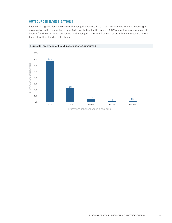# <span id="page-11-0"></span>**OUTSOURCED INVESTIGATIONS**

Even when organizations have internal investigation teams, there might be instances when outsourcing an investigation is the best option. Figure 8 demonstrates that the majority (68.2 percent) of organizations with internal fraud teams do not outsource any investigations; only 3.5 percent of organizations outsource more than half of their fraud investigations.



**Figure 8:** Percentage of Fraud Investigations Outsourced

PERCENTAGE OF INVESTIGATIONS OUTSOURCED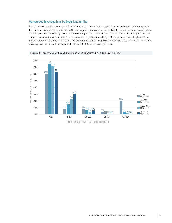#### <span id="page-12-0"></span>**Outsourced Investigations by Organization Size**

Our data indicates that an organization's size is a significant factor regarding the percentage of investigations that are outsourced. As seen in Figure 9, small organizations are the most likely to outsource fraud investigations, with 20 percent of these organizations outsourcing more than three-quarters of their cases, compared to just 3.2 percent of organizations with 100 or more employees, the next-highest-size group. Interestingly, mid-size organizations (both those with 100 to 999 employees and 1,000 to 9,999 employees) are more likely to keep all investigations in-house than organizations with 10,000 or more employees.





PERCENTAGE OF INVESTIGATIONS OUTSOURCED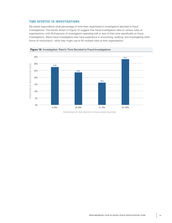## <span id="page-13-0"></span>**TIME DEVOTED TO INVESTIGATIONS**

We asked respondents what percentage of time their organization's investigators devoted to fraud investigations. The results shown in Figure 10 suggest that fraud investigators take on various roles at organizations, with 50.9 percent of investigators spending half or less of their time specifically on fraud investigations. Many fraud investigators also have experience in accounting, auditing, and investigating other forms of misconduct—skills they might use to fill multiple roles at their organizations.





PERCENTAGE OF TIME DEVOTED TO FRAUD INVESTIGATIONS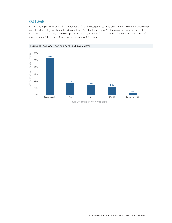# <span id="page-14-0"></span>**CASELOAD**

An important part of establishing a successful fraud investigation team is determining how many active cases each fraud investigator should handle at a time. As reflected in Figure 11, the majority of our respondents indicated that the average caseload per fraud investigator was fewer than five. A relatively low number of organizations (14.8 percent) reported a caseload of 20 or more.





AVERAGE CASELOAD PER INVESTIGATOR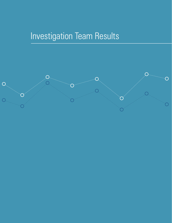# <span id="page-15-0"></span>Investigation Team Results

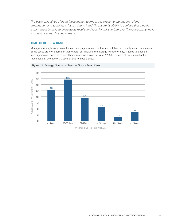<span id="page-16-0"></span>*The basic objectives of fraud investigation teams are to preserve the integrity of the organization and to mitigate losses due to fraud. To ensure its ability to achieve these goals, a team must be able to evaluate its results and look for ways to improve. There are many ways to measure a team's effectiveness.* 

# **TIME TO CLOSE A CASE**

Management might want to evaluate an investigation team by the time it takes the team to close fraud cases. Some cases are more complex than others, but knowing the average number of days it takes to close an investigation can serve as a useful benchmark. As shown in Figure 12, 59.8 percent of fraud investigation teams take an average of 30 days or less to close a case.



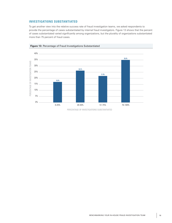## <span id="page-17-0"></span>**INVESTIGATIONS SUBSTANTIATED**

To get another view into the relative success rate of fraud investigation teams, we asked respondents to provide the percentage of cases substantiated by internal fraud investigators. Figure 13 shows that the percent of cases substantiated varied significantly among organizations, but the plurality of organizations substantiated more than 75 percent of fraud cases.





PERCENTAGE OF INVESTIGATIONS SUBSTANTIATED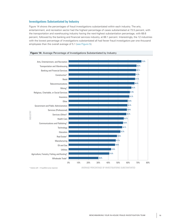#### <span id="page-18-0"></span>**Investigations Substantiated by Industry**

Figure 14 shows the percentages of fraud investigations substantiated within each industry. The arts, entertainment, and recreation sector had the highest percentage of cases substantiated at 73.5 percent, with the transportation and warehousing industry having the next-highest substantiation percentage, with 68.6 percent, followed by the banking and financial services industry, at 68.1 percent. Interestingly, the 12 industries with the lowest percentage of investigations substantiated all had fewer fraud investigators per one thousand employees than the overall average of 5.1 ([see Figure 5](#page-8-1)).





*\* Industry with <10 qualified survey responses*

AVERAGE PERCENTAGE OF INVESTIGATIONS SUBSTANTIATED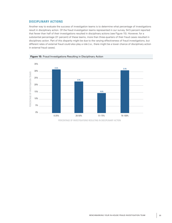#### <span id="page-19-0"></span>**DISCIPLINARY ACTIONS**

Another way to evaluate the success of investigation teams is to determine what percentage of investigations result in disciplinary action. Of the fraud investigation teams represented in our survey, 54.5 percent reported that fewer than half of their investigations resulted in disciplinary actions (see Figure 15). However, for a substantial percentage (31 percent) of these teams, more than three-quarters of their fraud cases resulted in disciplinary action. Part of this disparity might be due to the varying effectiveness of fraud investigations, but different rates of external fraud could also play a role (i.e., there might be a lower chance of disciplinary action in external fraud cases).





PERCENTAGE OF INVESTIGATIONS RESULTING IN DISCIPLINARY ACTION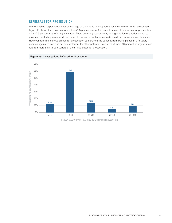#### <span id="page-20-0"></span>**REFERRALS FOR PROSECUTION**

We also asked respondents what percentage of their fraud investigations resulted in referrals for prosecution. Figure 16 shows that most respondents—71.5 percent—refer 25 percent or less of their cases for prosecution, with 12.5 percent not referring any cases. There are many reasons why an organization might decide not to prosecute, including lack of evidence to meet criminal evidentiary standards or a desire to maintain confidentiality. However, referring serious crimes for prosecution can prevent the suspect from being placed in a fiduciary position again and can also act as a deterrent for other potential fraudsters. Almost 10 percent of organizations referred more than three-quarters of their fraud cases for prosecution.





PERCENTAGE OF INVESTIGATIONS REFERRED FOR PROSECUTION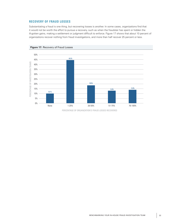### <span id="page-21-0"></span>**RECOVERY OF FRAUD LOSSES**

Substantiating a fraud is one thing, but recovering losses is another. In some cases, organizations find that it would not be worth the effort to pursue a recovery, such as when the fraudster has spent or hidden the ill-gotten gains, making a settlement or judgment difficult to enforce. Figure 17 shows that about 10 percent of organizations recover nothing from fraud investigations, and more than half recover 25 percent or less.



**Figure 17: Recovery of Fraud Losses** 

PERCENTAGE OF ORGANIZATION'S FRAUD LOSSES RECOVERED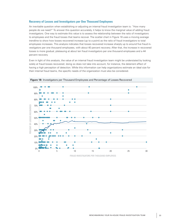#### <span id="page-22-0"></span>**Recovery of Losses and Investigators per One Thousand Employees**

An inevitable question when establishing or adjusting an internal fraud investigation team is: "How many people do we need?" To answer this question accurately, it helps to know the marginal value of adding fraud investigators. One way to estimate this value is to assess the relationship between the ratio of investigators to employees and the fraud losses that teams recover. The scatter chart in Figure 18 uses a moving average trendline to show how losses recovered increase (up to a point) as the ratio of fraud investigators to total employees increases. This analysis indicates that losses recovered increase sharply up to around five fraud investigators per one thousand employees, with about 40 percent recovery. After that, the increase in recovered losses is more gradual, plateauing at about ten fraud investigators per one thousand employees and a 44 percent recovery.

Even in light of this analysis, the value of an internal fraud investigation team might be understated by looking solely at fraud losses recovered; doing so does not take into account, for instance, the deterrent effect of having a high perception of detection. While this information can help organizations estimate an ideal size for their internal fraud teams, the specific needs of the organization must also be considered.



**Figure 18:** Investigators per Thousand Employees and Percentage of Losses Recovered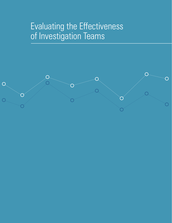# <span id="page-23-0"></span>Evaluating the Effectiveness of Investigation Teams

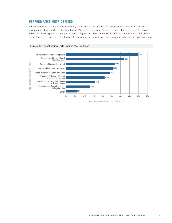### <span id="page-24-0"></span>**PERFORMANCE METRICS USED**

It is important for management to formally measure and assess the effectiveness of all departments and groups, including fraud investigation teams. We asked respondents what metrics, if any, are used to evaluate their fraud investigation team's performance. Figure 19 shows these results. Of the respondents, 39.8 percent did not report any metric, while the most commonly used metric was percentage of cases closed year-over-year.

<span id="page-24-1"></span>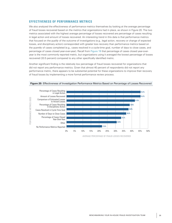#### <span id="page-25-0"></span>**EFFECTIVENESS OF PERFORMANCE METRICS**

We also analyzed the effectiveness of performance metrics themselves by looking at the average percentage of fraud losses recovered based on the metrics that organizations had in place, as shown in Figure 20. The two metrics associated with the highest average percentage of losses recovered are percentage of cases resulting in legal action and amount of losses recovered. An interesting trend in this data is that performance metrics that focused on the *quality* of the outcome of investigations (e.g., legal action, recovery or change of expected losses, and disciplinary action) corresponded with greater loss recovery than performance metrics based on the *quantity* of cases completed (e.g., cases resolved in a cycle-time goal, number of days to close cases, and percentage of cases closed year-over-year). Recall from [Figure 19](#page-24-1) that percentage of cases closed year-overyear is the most commonly reported metric, but organizations using it averaged the lowest percentage of losses recovered (33.5 percent) compared to any other specifically identified metric.

Another significant finding is the relatively low percentage of fraud losses recovered for organizations that did not report any performance metrics. Given that almost 40 percent of respondents did not report any performance metric, there appears to be substantial potential for these organizations to improve their recovery of fraud losses by implementing a more formal performance review process.



**Figure 20:** Effectiveness of Investigation Performance Metrics Based on Percentage of Losses Recovered

AVERAGE PERCENTAGE OF FRAUD LOSSES RECOVERED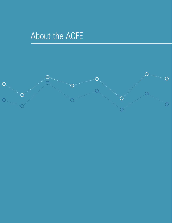# <span id="page-26-0"></span>About the ACFE

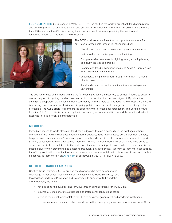**FOUNDED IN 1988** by Dr. Joseph T. Wells, CFE, CPA, the ACFE is the world's largest anti-fraud organization and premier provider of anti-fraud training and education. Together with more than 75,000 members in more than 150 countries, the ACFE is reducing business fraud worldwide and providing the training and resources needed to fight fraud more effectively.



The ACFE provides educational tools and practical solutions for anti-fraud professionals through initiatives including:

- Global conferences and seminars led by anti-fraud experts
- Instructor-led, interactive professional training
- Comprehensive resources for fighting fraud, including books, self-study courses and articles
- Leading anti-fraud publications, including *Fraud Magazine®, The Fraud Examiner* and *FraudInfo*
- Local networking and support through more than 170 ACFE chapters worldwide
- Anti-fraud curriculum and educational tools for colleges and universities

The positive effects of anti-fraud training are far-reaching. Clearly, the best way to combat fraud is to educate anyone engaged in fighting fraud on how to effectively prevent, detect and investigate it. By educating, uniting and supporting the global anti-fraud community with the tools to fight fraud more effectively, the ACFE is reducing business fraud worldwide and inspiring public confidence in the integrity and objectivity of the profession. The ACFE offers its members the opportunity for professional certification. The Certified Fraud Examiner (CFE) credential is preferred by businesses and government entities around the world and indicates expertise in fraud prevention and detection.

#### **MEMBERSHIP**

Immediate access to world-class anti-fraud knowledge and tools is a necessity in the fight against fraud. Members of the ACFE include accountants, internal auditors, fraud investigators, law enforcement officers, lawyers, business leaders, risk/compliance professionals and educators, all of whom have access to expert training, educational tools and resources. More than 75,000 members from all over the world have come to depend on the ACFE for solutions to the challenges they face in their professions. Whether their career is focused exclusively on preventing and detecting fraudulent activities or they just want to learn more about fraud, the ACFE provides the essential tools and resources necessary for anti-fraud professionals to accomplish their objectives. To learn more, visit [ACFE.com](www.ACFE.com) or call (800) 245-3321 / +1 (512) 478-9000.

#### **CERTIFIED FRAUD EXAMINERS**

Certified Fraud Examiners (CFEs) are anti-fraud experts who have demonstrated knowledge in four critical areas: Financial Transactions and Fraud Schemes, Law, Investigation, and Fraud Prevention and Deterrence. In support of CFEs and the CFE credential, the ACFE:



- Provides bona fide qualifications for CFEs through administration of the CFE Exam
- Requires CFEs to adhere to a strict code of professional conduct and ethics
- Serves as the global representative for CFEs to business, government and academic institutions
- Provides leadership to inspire public confidence in the integrity, objectivity and professionalism of CFEs